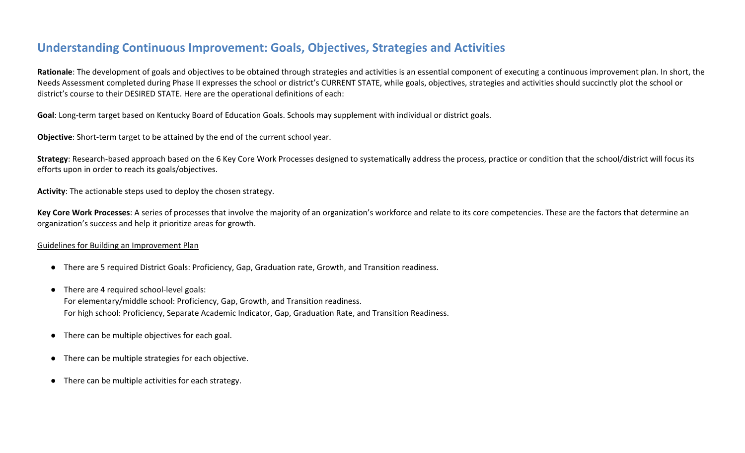## **Understanding Continuous Improvement: Goals, Objectives, Strategies and Activities**

**Rationale**: The development of goals and objectives to be obtained through strategies and activities is an essential component of executing a continuous improvement plan. In short, the Needs Assessment completed during Phase II expresses the school or district's CURRENT STATE, while goals, objectives, strategies and activities should succinctly plot the school or district's course to their DESIRED STATE. Here are the operational definitions of each:

**Goal**: Long-term target based on Kentucky Board of Education Goals. Schools may supplement with individual or district goals.

**Objective**: Short-term target to be attained by the end of the current school year.

**Strategy**: Research-based approach based on the 6 Key Core Work Processes designed to systematically address the process, practice or condition that the school/district will focus its efforts upon in order to reach its goals/objectives.

**Activity**: The actionable steps used to deploy the chosen strategy.

**Key Core Work Processes**: A series of processes that involve the majority of an organization's workforce and relate to its core competencies. These are the factors that determine an organization's success and help it prioritize areas for growth.

### Guidelines for Building an Improvement Plan

- There are 5 required District Goals: Proficiency, Gap, Graduation rate, Growth, and Transition readiness.
- There are 4 required school-level goals: For elementary/middle school: Proficiency, Gap, Growth, and Transition readiness. For high school: Proficiency, Separate Academic Indicator, Gap, Graduation Rate, and Transition Readiness.
- There can be multiple objectives for each goal.
- There can be multiple strategies for each objective.
- There can be multiple activities for each strategy.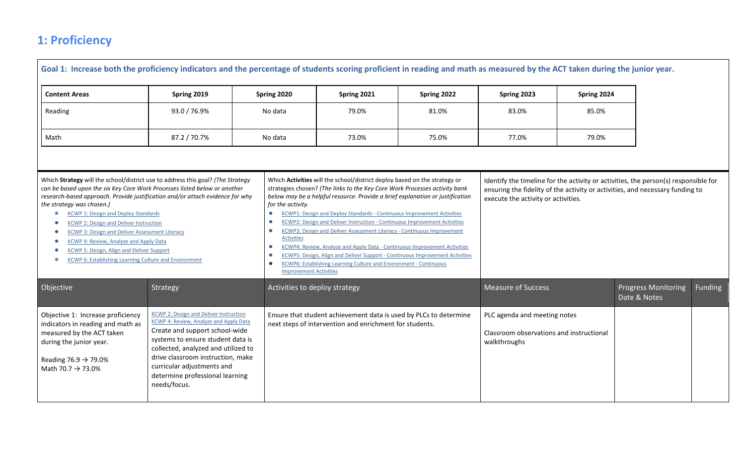# **1: Proficiency**

|                                                                                                                                                                                                                                                                                                                                                                                                                                                                                                          | Goal 1: Increase both the proficiency indicators and the percentage of students scoring proficient in reading and math as measured by the ACT taken during the junior year.                                                                                                                                                 |                                                                                                                                                       |                                                                                                                                                                                                                                                                                                                                                                                                                                                                                                                                                                                                                                                                                                                                  |             |                                                                                          |             |                                                                                                                                                                      |                |
|----------------------------------------------------------------------------------------------------------------------------------------------------------------------------------------------------------------------------------------------------------------------------------------------------------------------------------------------------------------------------------------------------------------------------------------------------------------------------------------------------------|-----------------------------------------------------------------------------------------------------------------------------------------------------------------------------------------------------------------------------------------------------------------------------------------------------------------------------|-------------------------------------------------------------------------------------------------------------------------------------------------------|----------------------------------------------------------------------------------------------------------------------------------------------------------------------------------------------------------------------------------------------------------------------------------------------------------------------------------------------------------------------------------------------------------------------------------------------------------------------------------------------------------------------------------------------------------------------------------------------------------------------------------------------------------------------------------------------------------------------------------|-------------|------------------------------------------------------------------------------------------|-------------|----------------------------------------------------------------------------------------------------------------------------------------------------------------------|----------------|
| <b>Content Areas</b>                                                                                                                                                                                                                                                                                                                                                                                                                                                                                     | Spring 2019                                                                                                                                                                                                                                                                                                                 | Spring 2020                                                                                                                                           | Spring 2021                                                                                                                                                                                                                                                                                                                                                                                                                                                                                                                                                                                                                                                                                                                      | Spring 2022 | Spring 2023                                                                              | Spring 2024 |                                                                                                                                                                      |                |
| Reading                                                                                                                                                                                                                                                                                                                                                                                                                                                                                                  | 93.0 / 76.9%                                                                                                                                                                                                                                                                                                                | No data                                                                                                                                               | 79.0%                                                                                                                                                                                                                                                                                                                                                                                                                                                                                                                                                                                                                                                                                                                            | 81.0%       | 83.0%                                                                                    | 85.0%       |                                                                                                                                                                      |                |
| Math                                                                                                                                                                                                                                                                                                                                                                                                                                                                                                     | 87.2 / 70.7%                                                                                                                                                                                                                                                                                                                | No data                                                                                                                                               | 73.0%                                                                                                                                                                                                                                                                                                                                                                                                                                                                                                                                                                                                                                                                                                                            | 75.0%       | 77.0%                                                                                    | 79.0%       |                                                                                                                                                                      |                |
| Which Strategy will the school/district use to address this goal? (The Strategy<br>can be based upon the six Key Core Work Processes listed below or another<br>the strategy was chosen.)<br><b>KCWP 1: Design and Deploy Standards</b><br><b>KCWP 2: Design and Deliver Instruction</b><br><b>KCWP 3: Design and Deliver Assessment Literacy</b><br>KCWP 4: Review, Analyze and Apply Data<br>KCWP 5: Design, Align and Deliver Support<br><b>KCWP 6: Establishing Learning Culture and Environment</b> | research-based approach. Provide justification and/or attach evidence for why                                                                                                                                                                                                                                               | for the activity.<br>$\bullet$<br>$\bullet$<br>$\bullet$<br><b>Activities</b><br>$\bullet$<br>$\bullet$<br>$\bullet$<br><b>Improvement Activities</b> | Which Activities will the school/district deploy based on the strategy or<br>strategies chosen? (The links to the Key Core Work Processes activity bank<br>below may be a helpful resource. Provide a brief explanation or justification<br>KCWP1: Design and Deploy Standards - Continuous Improvement Activities<br><b>KCWP2: Design and Deliver Instruction - Continuous Improvement Activities</b><br><b>KCWP3: Design and Deliver Assessment Literacy - Continuous Improvement</b><br>KCWP4: Review, Analyze and Apply Data - Continuous Improvement Activities<br>KCWP5: Design, Align and Deliver Support - Continuous Improvement Activities<br><b>KCWP6: Establishing Learning Culture and Environment - Continuous</b> |             | execute the activity or activities.                                                      |             | Identify the timeline for the activity or activities, the person(s) responsible for<br>ensuring the fidelity of the activity or activities, and necessary funding to |                |
| Objective                                                                                                                                                                                                                                                                                                                                                                                                                                                                                                | Strategy                                                                                                                                                                                                                                                                                                                    | Activities to deploy strategy                                                                                                                         |                                                                                                                                                                                                                                                                                                                                                                                                                                                                                                                                                                                                                                                                                                                                  |             | <b>Measure of Success</b>                                                                |             | <b>Progress Monitoring</b><br>Date & Notes                                                                                                                           | <b>Funding</b> |
| Objective 1: Increase proficiency<br>indicators in reading and math as<br>measured by the ACT taken<br>during the junior year.<br>Reading 76.9 $\rightarrow$ 79.0%<br>Math 70.7 $\rightarrow$ 73.0%                                                                                                                                                                                                                                                                                                      | <b>KCWP 2: Design and Deliver Instruction</b><br>KCWP 4: Review, Analyze and Apply Data<br>Create and support school-wide<br>systems to ensure student data is<br>collected, analyzed and utilized to<br>drive classroom instruction, make<br>curricular adjustments and<br>determine professional learning<br>needs/focus. |                                                                                                                                                       | Ensure that student achievement data is used by PLCs to determine<br>next steps of intervention and enrichment for students.                                                                                                                                                                                                                                                                                                                                                                                                                                                                                                                                                                                                     |             | PLC agenda and meeting notes<br>Classroom observations and instructional<br>walkthroughs |             |                                                                                                                                                                      |                |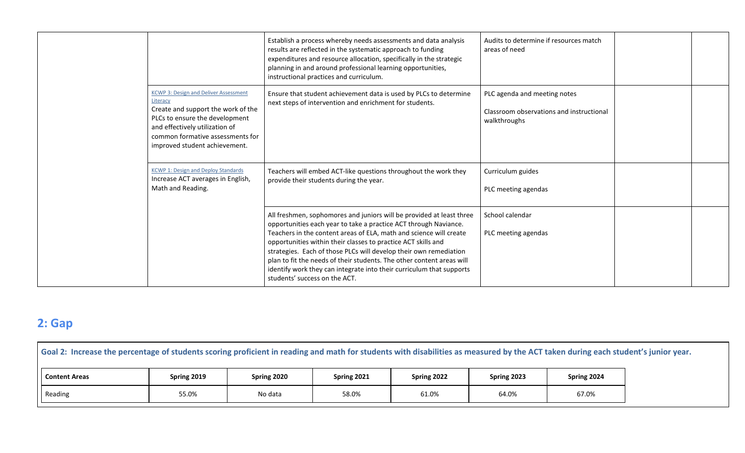|                                                                                                                                                                                                                                         | Establish a process whereby needs assessments and data analysis<br>results are reflected in the systematic approach to funding<br>expenditures and resource allocation, specifically in the strategic<br>planning in and around professional learning opportunities,<br>instructional practices and curriculum.                                                                                                                                                                                                                        | Audits to determine if resources match<br>areas of need                                  |  |
|-----------------------------------------------------------------------------------------------------------------------------------------------------------------------------------------------------------------------------------------|----------------------------------------------------------------------------------------------------------------------------------------------------------------------------------------------------------------------------------------------------------------------------------------------------------------------------------------------------------------------------------------------------------------------------------------------------------------------------------------------------------------------------------------|------------------------------------------------------------------------------------------|--|
| <b>KCWP 3: Design and Deliver Assessment</b><br>Literacy<br>Create and support the work of the<br>PLCs to ensure the development<br>and effectively utilization of<br>common formative assessments for<br>improved student achievement. | Ensure that student achievement data is used by PLCs to determine<br>next steps of intervention and enrichment for students.                                                                                                                                                                                                                                                                                                                                                                                                           | PLC agenda and meeting notes<br>Classroom observations and instructional<br>walkthroughs |  |
| <b>KCWP 1: Design and Deploy Standards</b><br>Increase ACT averages in English,<br>Math and Reading.                                                                                                                                    | Teachers will embed ACT-like questions throughout the work they<br>provide their students during the year.                                                                                                                                                                                                                                                                                                                                                                                                                             | Curriculum guides<br>PLC meeting agendas                                                 |  |
|                                                                                                                                                                                                                                         | All freshmen, sophomores and juniors will be provided at least three<br>opportunities each year to take a practice ACT through Naviance.<br>Teachers in the content areas of ELA, math and science will create<br>opportunities within their classes to practice ACT skills and<br>strategies. Each of those PLCs will develop their own remediation<br>plan to fit the needs of their students. The other content areas will<br>identify work they can integrate into their curriculum that supports<br>students' success on the ACT. | School calendar<br>PLC meeting agendas                                                   |  |

# **2: Gap**

| Goal 2: Increase the percentage of students scoring proficient in reading and math for students with disabilities as measured by the ACT taken during each student's junior year. |             |             |             |             |             |             |  |  |
|-----------------------------------------------------------------------------------------------------------------------------------------------------------------------------------|-------------|-------------|-------------|-------------|-------------|-------------|--|--|
| <b>Content Areas</b>                                                                                                                                                              | Spring 2019 | Spring 2020 | Spring 2021 | Spring 2022 | Spring 2023 | Spring 2024 |  |  |
| Reading                                                                                                                                                                           | 55.0%       | No data     | 58.0%       | 61.0%       | 64.0%       | 67.0%       |  |  |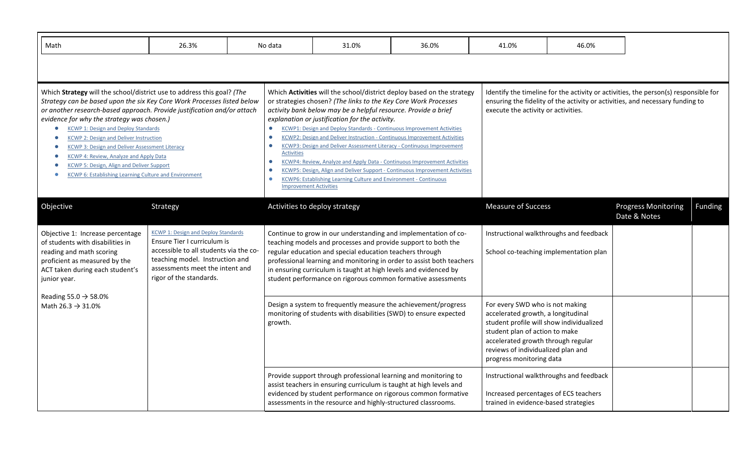| Math                                                                                                                                                                                                                                                                                                                                                                                                                                                                                                                                                                                                    | 26.3%                                                                                                                                                                                                                |  | No data                                                                                                                                                                                                                                                                                                                                                                                                                                                                                                                                                                                                                                                                                                                                                                                                                                                | 31.0%                                                                                                                                                                                                                                                                                                                            | 36.0%                                                                 | 41.0%                                                                                                                                                                                                                                                       | 46.0%                                                                             |                                            |                |  |
|---------------------------------------------------------------------------------------------------------------------------------------------------------------------------------------------------------------------------------------------------------------------------------------------------------------------------------------------------------------------------------------------------------------------------------------------------------------------------------------------------------------------------------------------------------------------------------------------------------|----------------------------------------------------------------------------------------------------------------------------------------------------------------------------------------------------------------------|--|--------------------------------------------------------------------------------------------------------------------------------------------------------------------------------------------------------------------------------------------------------------------------------------------------------------------------------------------------------------------------------------------------------------------------------------------------------------------------------------------------------------------------------------------------------------------------------------------------------------------------------------------------------------------------------------------------------------------------------------------------------------------------------------------------------------------------------------------------------|----------------------------------------------------------------------------------------------------------------------------------------------------------------------------------------------------------------------------------------------------------------------------------------------------------------------------------|-----------------------------------------------------------------------|-------------------------------------------------------------------------------------------------------------------------------------------------------------------------------------------------------------------------------------------------------------|-----------------------------------------------------------------------------------|--------------------------------------------|----------------|--|
|                                                                                                                                                                                                                                                                                                                                                                                                                                                                                                                                                                                                         |                                                                                                                                                                                                                      |  |                                                                                                                                                                                                                                                                                                                                                                                                                                                                                                                                                                                                                                                                                                                                                                                                                                                        |                                                                                                                                                                                                                                                                                                                                  |                                                                       |                                                                                                                                                                                                                                                             |                                                                                   |                                            |                |  |
| Which Strategy will the school/district use to address this goal? (The<br>Strategy can be based upon the six Key Core Work Processes listed below<br>or another research-based approach. Provide justification and/or attach<br>evidence for why the strategy was chosen.)<br><b>KCWP 1: Design and Deploy Standards</b><br><b>KCWP 2: Design and Deliver Instruction</b><br><b>KCWP 3: Design and Deliver Assessment Literacy</b><br><b>KCWP 4: Review, Analyze and Apply Data</b><br><b>KCWP 5: Design, Align and Deliver Support</b><br><b>KCWP 6: Establishing Learning Culture and Environment</b> |                                                                                                                                                                                                                      |  | Which Activities will the school/district deploy based on the strategy<br>or strategies chosen? (The links to the Key Core Work Processes<br>activity bank below may be a helpful resource. Provide a brief<br>explanation or justification for the activity.<br>KCWP1: Design and Deploy Standards - Continuous Improvement Activities<br>$\bullet$<br>KCWP2: Design and Deliver Instruction - Continuous Improvement Activities<br>$\bullet$<br><b>KCWP3: Design and Deliver Assessment Literacy - Continuous Improvement</b><br>$\bullet$<br><b>Activities</b><br>KCWP4: Review, Analyze and Apply Data - Continuous Improvement Activities<br>$\bullet$<br>KCWP5: Design, Align and Deliver Support - Continuous Improvement Activities<br>KCWP6: Establishing Learning Culture and Environment - Continuous<br>0<br><b>Improvement Activities</b> |                                                                                                                                                                                                                                                                                                                                  |                                                                       | Identify the timeline for the activity or activities, the person(s) responsible for<br>ensuring the fidelity of the activity or activities, and necessary funding to<br>execute the activity or activities.                                                 |                                                                                   |                                            |                |  |
| Objective                                                                                                                                                                                                                                                                                                                                                                                                                                                                                                                                                                                               | Strategy                                                                                                                                                                                                             |  |                                                                                                                                                                                                                                                                                                                                                                                                                                                                                                                                                                                                                                                                                                                                                                                                                                                        | Activities to deploy strategy                                                                                                                                                                                                                                                                                                    |                                                                       | <b>Measure of Success</b>                                                                                                                                                                                                                                   |                                                                                   | <b>Progress Monitoring</b><br>Date & Notes | <b>Funding</b> |  |
| Objective 1: Increase percentage<br>of students with disabilities in<br>reading and math scoring<br>proficient as measured by the<br>ACT taken during each student's<br>junior year.                                                                                                                                                                                                                                                                                                                                                                                                                    | <b>KCWP 1: Design and Deploy Standards</b><br>Ensure Tier I curriculum is<br>accessible to all students via the co-<br>teaching model. Instruction and<br>assessments meet the intent and<br>rigor of the standards. |  |                                                                                                                                                                                                                                                                                                                                                                                                                                                                                                                                                                                                                                                                                                                                                                                                                                                        | Continue to grow in our understanding and implementation of co-<br>teaching models and processes and provide support to both the<br>regular education and special education teachers through<br>in ensuring curriculum is taught at high levels and evidenced by<br>student performance on rigorous common formative assessments | professional learning and monitoring in order to assist both teachers |                                                                                                                                                                                                                                                             | Instructional walkthroughs and feedback<br>School co-teaching implementation plan |                                            |                |  |
| Reading 55.0 $\rightarrow$ 58.0%<br>Math 26.3 $\rightarrow$ 31.0%                                                                                                                                                                                                                                                                                                                                                                                                                                                                                                                                       |                                                                                                                                                                                                                      |  | growth.                                                                                                                                                                                                                                                                                                                                                                                                                                                                                                                                                                                                                                                                                                                                                                                                                                                | Design a system to frequently measure the achievement/progress<br>monitoring of students with disabilities (SWD) to ensure expected                                                                                                                                                                                              |                                                                       | For every SWD who is not making<br>accelerated growth, a longitudinal<br>student profile will show individualized<br>student plan of action to make<br>accelerated growth through regular<br>reviews of individualized plan and<br>progress monitoring data |                                                                                   |                                            |                |  |
|                                                                                                                                                                                                                                                                                                                                                                                                                                                                                                                                                                                                         |                                                                                                                                                                                                                      |  |                                                                                                                                                                                                                                                                                                                                                                                                                                                                                                                                                                                                                                                                                                                                                                                                                                                        | Provide support through professional learning and monitoring to<br>assist teachers in ensuring curriculum is taught at high levels and<br>assessments in the resource and highly-structured classrooms.                                                                                                                          | evidenced by student performance on rigorous common formative         | Increased percentages of ECS teachers<br>trained in evidence-based strategies                                                                                                                                                                               | Instructional walkthroughs and feedback                                           |                                            |                |  |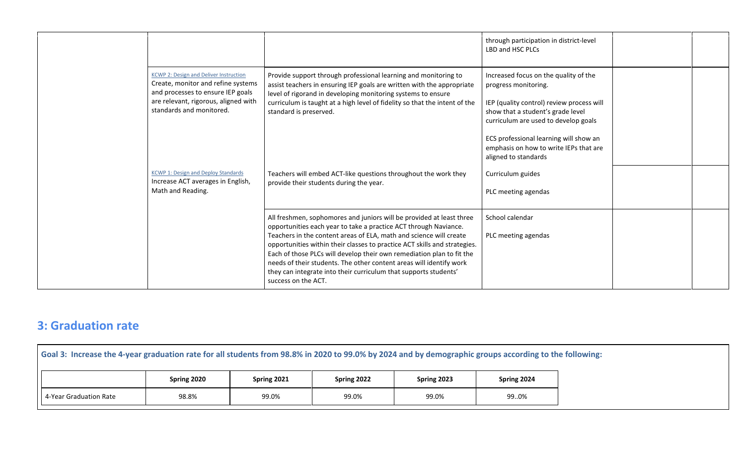|                                                                                                                                                                                              |                                                                                                                                                                                                                                                                                                                                                                                                                                                                                                                                        | through participation in district-level<br>LBD and HSC PLCs                                                                                                                                                                                                                                         |
|----------------------------------------------------------------------------------------------------------------------------------------------------------------------------------------------|----------------------------------------------------------------------------------------------------------------------------------------------------------------------------------------------------------------------------------------------------------------------------------------------------------------------------------------------------------------------------------------------------------------------------------------------------------------------------------------------------------------------------------------|-----------------------------------------------------------------------------------------------------------------------------------------------------------------------------------------------------------------------------------------------------------------------------------------------------|
| <b>KCWP 2: Design and Deliver Instruction</b><br>Create, monitor and refine systems<br>and processes to ensure IEP goals<br>are relevant, rigorous, aligned with<br>standards and monitored. | Provide support through professional learning and monitoring to<br>assist teachers in ensuring IEP goals are written with the appropriate<br>level of rigorand in developing monitoring systems to ensure<br>curriculum is taught at a high level of fidelity so that the intent of the<br>standard is preserved.                                                                                                                                                                                                                      | Increased focus on the quality of the<br>progress monitoring.<br>IEP (quality control) review process will<br>show that a student's grade level<br>curriculum are used to develop goals<br>ECS professional learning will show an<br>emphasis on how to write IEPs that are<br>aligned to standards |
| <b>KCWP 1: Design and Deploy Standards</b><br>Increase ACT averages in English,<br>Math and Reading.                                                                                         | Teachers will embed ACT-like questions throughout the work they<br>provide their students during the year.                                                                                                                                                                                                                                                                                                                                                                                                                             | Curriculum guides<br>PLC meeting agendas                                                                                                                                                                                                                                                            |
|                                                                                                                                                                                              | All freshmen, sophomores and juniors will be provided at least three<br>opportunities each year to take a practice ACT through Naviance.<br>Teachers in the content areas of ELA, math and science will create<br>opportunities within their classes to practice ACT skills and strategies.<br>Each of those PLCs will develop their own remediation plan to fit the<br>needs of their students. The other content areas will identify work<br>they can integrate into their curriculum that supports students'<br>success on the ACT. | School calendar<br>PLC meeting agendas                                                                                                                                                                                                                                                              |

## **3: Graduation rate**

| Goal 3: Increase the 4-year graduation rate for all students from 98.8% in 2020 to 99.0% by 2024 and by demographic groups according to the following: |             |             |             |             |             |  |  |
|--------------------------------------------------------------------------------------------------------------------------------------------------------|-------------|-------------|-------------|-------------|-------------|--|--|
|                                                                                                                                                        | Spring 2020 | Spring 2021 | Spring 2022 | Spring 2023 | Spring 2024 |  |  |
| 4-Year Graduation Rate                                                                                                                                 | 98.8%       | 99.0%       | 99.0%       | 99.0%       | 990%        |  |  |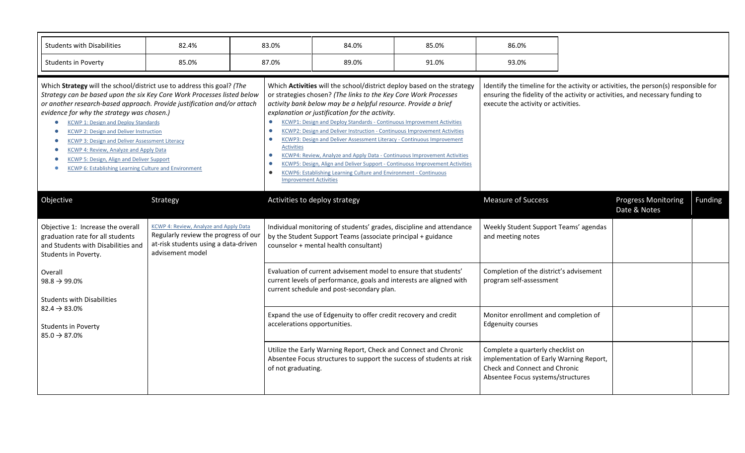| <b>Students with Disabilities</b>                                                                                                                                                                                                                                                                                                                                                                                                                                                                                                                                                         | 82.4%                                                                                                                                             |  | 83.0%                                                                                                                                                                                                                                                                                                                                                                                                                                                                                                                                                                                                                                                                                                                                                                                                                                | 84.0%                                                                                                                                                                         | 85.0%                                                              | 86.0%                                                                                                                                                                                                       |  |                                            |         |
|-------------------------------------------------------------------------------------------------------------------------------------------------------------------------------------------------------------------------------------------------------------------------------------------------------------------------------------------------------------------------------------------------------------------------------------------------------------------------------------------------------------------------------------------------------------------------------------------|---------------------------------------------------------------------------------------------------------------------------------------------------|--|--------------------------------------------------------------------------------------------------------------------------------------------------------------------------------------------------------------------------------------------------------------------------------------------------------------------------------------------------------------------------------------------------------------------------------------------------------------------------------------------------------------------------------------------------------------------------------------------------------------------------------------------------------------------------------------------------------------------------------------------------------------------------------------------------------------------------------------|-------------------------------------------------------------------------------------------------------------------------------------------------------------------------------|--------------------------------------------------------------------|-------------------------------------------------------------------------------------------------------------------------------------------------------------------------------------------------------------|--|--------------------------------------------|---------|
| <b>Students in Poverty</b>                                                                                                                                                                                                                                                                                                                                                                                                                                                                                                                                                                | 85.0%                                                                                                                                             |  | 87.0%                                                                                                                                                                                                                                                                                                                                                                                                                                                                                                                                                                                                                                                                                                                                                                                                                                | 89.0%                                                                                                                                                                         | 91.0%                                                              | 93.0%                                                                                                                                                                                                       |  |                                            |         |
| Which Strategy will the school/district use to address this goal? (The<br>Strategy can be based upon the six Key Core Work Processes listed below<br>or another research-based approach. Provide justification and/or attach<br>evidence for why the strategy was chosen.)<br><b>KCWP 1: Design and Deploy Standards</b><br><b>KCWP 2: Design and Deliver Instruction</b><br><b>KCWP 3: Design and Deliver Assessment Literacy</b><br>KCWP 4: Review, Analyze and Apply Data<br><b>KCWP 5: Design, Align and Deliver Support</b><br>KCWP 6: Establishing Learning Culture and Environment |                                                                                                                                                   |  | Which Activities will the school/district deploy based on the strategy<br>or strategies chosen? (The links to the Key Core Work Processes<br>activity bank below may be a helpful resource. Provide a brief<br>explanation or justification for the activity.<br><b>KCWP1: Design and Deploy Standards - Continuous Improvement Activities</b><br>$\bullet$<br>KCWP2: Design and Deliver Instruction - Continuous Improvement Activities<br>KCWP3: Design and Deliver Assessment Literacy - Continuous Improvement<br>$\bullet$<br><b>Activities</b><br>KCWP4: Review, Analyze and Apply Data - Continuous Improvement Activities<br>$\bullet$<br>KCWP5: Design, Align and Deliver Support - Continuous Improvement Activities<br>KCWP6: Establishing Learning Culture and Environment - Continuous<br><b>Improvement Activities</b> |                                                                                                                                                                               |                                                                    | Identify the timeline for the activity or activities, the person(s) responsible for<br>ensuring the fidelity of the activity or activities, and necessary funding to<br>execute the activity or activities. |  |                                            |         |
| Objective                                                                                                                                                                                                                                                                                                                                                                                                                                                                                                                                                                                 | Strategy                                                                                                                                          |  |                                                                                                                                                                                                                                                                                                                                                                                                                                                                                                                                                                                                                                                                                                                                                                                                                                      | Activities to deploy strategy                                                                                                                                                 |                                                                    | <b>Measure of Success</b>                                                                                                                                                                                   |  | <b>Progress Monitoring</b><br>Date & Notes | Funding |
| Objective 1: Increase the overall<br>graduation rate for all students<br>and Students with Disabilities and<br>Students in Poverty.                                                                                                                                                                                                                                                                                                                                                                                                                                                       | <b>KCWP 4: Review, Analyze and Apply Data</b><br>Regularly review the progress of our<br>at-risk students using a data-driven<br>advisement model |  |                                                                                                                                                                                                                                                                                                                                                                                                                                                                                                                                                                                                                                                                                                                                                                                                                                      | Individual monitoring of students' grades, discipline and attendance<br>by the Student Support Teams (associate principal + guidance<br>counselor + mental health consultant) |                                                                    | Weekly Student Support Teams' agendas<br>and meeting notes                                                                                                                                                  |  |                                            |         |
| Overall<br>$98.8 \rightarrow 99.0\%$<br><b>Students with Disabilities</b>                                                                                                                                                                                                                                                                                                                                                                                                                                                                                                                 |                                                                                                                                                   |  | Evaluation of current advisement model to ensure that students'<br>current levels of performance, goals and interests are aligned with<br>current schedule and post-secondary plan.                                                                                                                                                                                                                                                                                                                                                                                                                                                                                                                                                                                                                                                  |                                                                                                                                                                               | Completion of the district's advisement<br>program self-assessment |                                                                                                                                                                                                             |  |                                            |         |
| $82.4 \rightarrow 83.0\%$<br><b>Students in Poverty</b><br>$85.0 \rightarrow 87.0\%$                                                                                                                                                                                                                                                                                                                                                                                                                                                                                                      |                                                                                                                                                   |  | accelerations opportunities.                                                                                                                                                                                                                                                                                                                                                                                                                                                                                                                                                                                                                                                                                                                                                                                                         | Expand the use of Edgenuity to offer credit recovery and credit                                                                                                               |                                                                    | Monitor enrollment and completion of<br><b>Edgenuity courses</b>                                                                                                                                            |  |                                            |         |
|                                                                                                                                                                                                                                                                                                                                                                                                                                                                                                                                                                                           |                                                                                                                                                   |  | of not graduating.                                                                                                                                                                                                                                                                                                                                                                                                                                                                                                                                                                                                                                                                                                                                                                                                                   | Utilize the Early Warning Report, Check and Connect and Chronic<br>Absentee Focus structures to support the success of students at risk                                       |                                                                    | Complete a quarterly checklist on<br>implementation of Early Warning Report,<br>Check and Connect and Chronic<br>Absentee Focus systems/structures                                                          |  |                                            |         |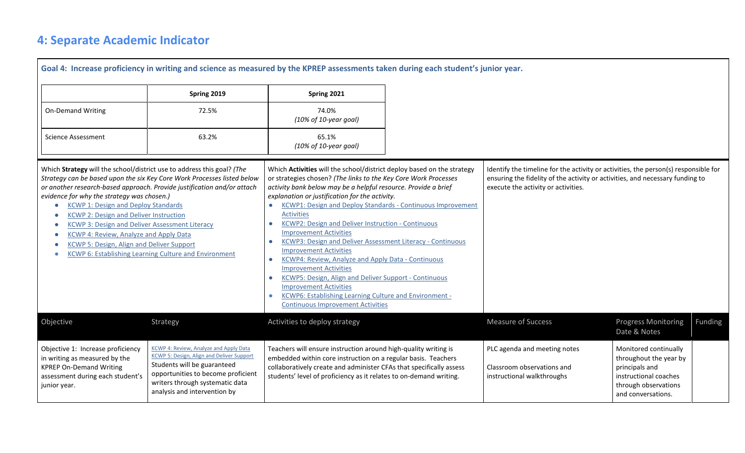# **4: Separate Academic Indicator**

|                                                                                                                                                                                                                                                                                                                                                                                                                                                                                                                                                                                    |                                                                                                                                                                                                                                    | Goal 4: Increase proficiency in writing and science as measured by the KPREP assessments taken during each student's junior year.                                                                                                                                                                                                                                                                                                                                                                                                                                                                                                                                                                                                                                                                                                                                                                                           |                                                                                                                                                                                                             |                                                                                                                                          |                |
|------------------------------------------------------------------------------------------------------------------------------------------------------------------------------------------------------------------------------------------------------------------------------------------------------------------------------------------------------------------------------------------------------------------------------------------------------------------------------------------------------------------------------------------------------------------------------------|------------------------------------------------------------------------------------------------------------------------------------------------------------------------------------------------------------------------------------|-----------------------------------------------------------------------------------------------------------------------------------------------------------------------------------------------------------------------------------------------------------------------------------------------------------------------------------------------------------------------------------------------------------------------------------------------------------------------------------------------------------------------------------------------------------------------------------------------------------------------------------------------------------------------------------------------------------------------------------------------------------------------------------------------------------------------------------------------------------------------------------------------------------------------------|-------------------------------------------------------------------------------------------------------------------------------------------------------------------------------------------------------------|------------------------------------------------------------------------------------------------------------------------------------------|----------------|
|                                                                                                                                                                                                                                                                                                                                                                                                                                                                                                                                                                                    | Spring 2019                                                                                                                                                                                                                        | Spring 2021                                                                                                                                                                                                                                                                                                                                                                                                                                                                                                                                                                                                                                                                                                                                                                                                                                                                                                                 |                                                                                                                                                                                                             |                                                                                                                                          |                |
| <b>On-Demand Writing</b>                                                                                                                                                                                                                                                                                                                                                                                                                                                                                                                                                           | 72.5%                                                                                                                                                                                                                              | 74.0%<br>(10% of 10-year goal)                                                                                                                                                                                                                                                                                                                                                                                                                                                                                                                                                                                                                                                                                                                                                                                                                                                                                              |                                                                                                                                                                                                             |                                                                                                                                          |                |
| <b>Science Assessment</b>                                                                                                                                                                                                                                                                                                                                                                                                                                                                                                                                                          | 63.2%                                                                                                                                                                                                                              | 65.1%<br>(10% of 10-year goal)                                                                                                                                                                                                                                                                                                                                                                                                                                                                                                                                                                                                                                                                                                                                                                                                                                                                                              |                                                                                                                                                                                                             |                                                                                                                                          |                |
| Which Strategy will the school/district use to address this goal? (The<br>Strategy can be based upon the six Key Core Work Processes listed below<br>or another research-based approach. Provide justification and/or attach<br>evidence for why the strategy was chosen.)<br><b>KCWP 1: Design and Deploy Standards</b><br><b>KCWP 2: Design and Deliver Instruction</b><br><b>KCWP 3: Design and Deliver Assessment Literacy</b><br>KCWP 4: Review, Analyze and Apply Data<br>KCWP 5: Design, Align and Deliver Support<br>KCWP 6: Establishing Learning Culture and Environment |                                                                                                                                                                                                                                    | Which Activities will the school/district deploy based on the strategy<br>or strategies chosen? (The links to the Key Core Work Processes<br>activity bank below may be a helpful resource. Provide a brief<br>explanation or justification for the activity.<br>KCWP1: Design and Deploy Standards - Continuous Improvement<br>$\bullet$<br><b>Activities</b><br><b>KCWP2: Design and Deliver Instruction - Continuous</b><br>$\bullet$<br><b>Improvement Activities</b><br><b>KCWP3: Design and Deliver Assessment Literacy - Continuous</b><br>$\bullet$<br><b>Improvement Activities</b><br>KCWP4: Review, Analyze and Apply Data - Continuous<br>$\bullet$<br><b>Improvement Activities</b><br><b>KCWP5: Design, Align and Deliver Support - Continuous</b><br>$\bullet$<br><b>Improvement Activities</b><br><b>KCWP6: Establishing Learning Culture and Environment -</b><br><b>Continuous Improvement Activities</b> | Identify the timeline for the activity or activities, the person(s) responsible for<br>ensuring the fidelity of the activity or activities, and necessary funding to<br>execute the activity or activities. |                                                                                                                                          |                |
| Objective                                                                                                                                                                                                                                                                                                                                                                                                                                                                                                                                                                          | Strategy                                                                                                                                                                                                                           | Activities to deploy strategy                                                                                                                                                                                                                                                                                                                                                                                                                                                                                                                                                                                                                                                                                                                                                                                                                                                                                               | <b>Measure of Success</b>                                                                                                                                                                                   | <b>Progress Monitoring</b><br>Date & Notes                                                                                               | <b>Funding</b> |
| Objective 1: Increase proficiency<br>in writing as measured by the<br><b>KPREP On-Demand Writing</b><br>assessment during each student's<br>junior year.                                                                                                                                                                                                                                                                                                                                                                                                                           | KCWP 4: Review, Analyze and Apply Data<br><b>KCWP 5: Design, Align and Deliver Support</b><br>Students will be guaranteed<br>opportunities to become proficient<br>writers through systematic data<br>analysis and intervention by | Teachers will ensure instruction around high-quality writing is<br>embedded within core instruction on a regular basis. Teachers<br>collaboratively create and administer CFAs that specifically assess<br>students' level of proficiency as it relates to on-demand writing.                                                                                                                                                                                                                                                                                                                                                                                                                                                                                                                                                                                                                                               | PLC agenda and meeting notes<br>Classroom observations and<br>instructional walkthroughs                                                                                                                    | Monitored continually<br>throughout the year by<br>principals and<br>instructional coaches<br>through observations<br>and conversations. |                |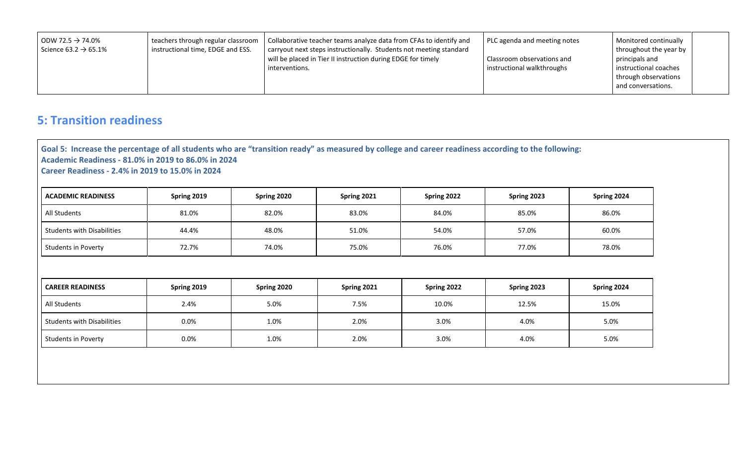| l ODW 72.5 $\rightarrow$ 74.0%<br>Science 63.2 $\rightarrow$ 65.1% | teachers through regular classroom<br>instructional time, EDGE and ESS. | Collaborative teacher teams analyze data from CFAs to identify and<br>carryout next steps instructionally. Students not meeting standard<br>will be placed in Tier II instruction during EDGE for timely<br>interventions. | PLC agenda and meeting notes<br>Classroom observations and<br>instructional walkthroughs | Monitored continually<br>throughout the year by<br>principals and<br>instructional coaches<br>through observations<br>and conversations. |  |
|--------------------------------------------------------------------|-------------------------------------------------------------------------|----------------------------------------------------------------------------------------------------------------------------------------------------------------------------------------------------------------------------|------------------------------------------------------------------------------------------|------------------------------------------------------------------------------------------------------------------------------------------|--|
|--------------------------------------------------------------------|-------------------------------------------------------------------------|----------------------------------------------------------------------------------------------------------------------------------------------------------------------------------------------------------------------------|------------------------------------------------------------------------------------------|------------------------------------------------------------------------------------------------------------------------------------------|--|

## **5: Transition readiness**

**Goal 5: Increase the percentage of all students who are "transition ready" as measured by college and career readiness according to the following: Academic Readiness - 81.0% in 2019 to 86.0% in 2024 Career Readiness - 2.4% in 2019 to 15.0% in 2024**

| <b>ACADEMIC READINESS</b>         | Spring 2019 | Spring 2020 | Spring 2021 | Spring 2022 | Spring 2023 | Spring 2024 |
|-----------------------------------|-------------|-------------|-------------|-------------|-------------|-------------|
| All Students                      | 81.0%       | 82.0%       | 83.0%       | 84.0%       | 85.0%       | 86.0%       |
| <b>Students with Disabilities</b> | 44.4%       | 48.0%       | 51.0%       | 54.0%       | 57.0%       | 60.0%       |
| Students in Poverty               | 72.7%       | 74.0%       | 75.0%       | 76.0%       | 77.0%       | 78.0%       |

| <b>CAREER READINESS</b>           | Spring 2019 | Spring 2020 | Spring 2021 | Spring 2022 | Spring 2023 | Spring 2024 |
|-----------------------------------|-------------|-------------|-------------|-------------|-------------|-------------|
| All Students                      | 2.4%        | 5.0%        | 7.5%        | 10.0%       | 12.5%       | 15.0%       |
| <b>Students with Disabilities</b> | 0.0%        | 1.0%        | 2.0%        | 3.0%        | 4.0%        | $5.0\%$     |
| Students in Poverty               | 0.0%        | 1.0%        | 2.0%        | 3.0%        | 4.0%        | 5.0%        |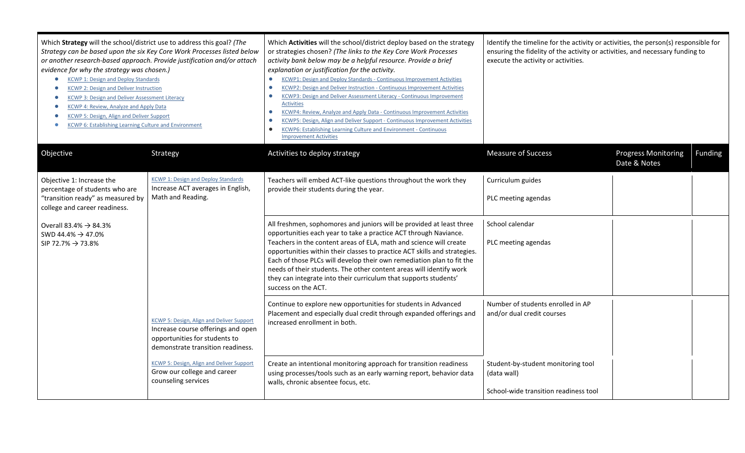| Which Strategy will the school/district use to address this goal? (The<br>Strategy can be based upon the six Key Core Work Processes listed below<br>or another research-based approach. Provide justification and/or attach<br>evidence for why the strategy was chosen.)<br><b>KCWP 1: Design and Deploy Standards</b><br>$\bullet$<br><b>KCWP 2: Design and Deliver Instruction</b><br>KCWP 3: Design and Deliver Assessment Literacy<br>KCWP 4: Review, Analyze and Apply Data<br>KCWP 5: Design, Align and Deliver Support<br>KCWP 6: Establishing Learning Culture and Environment<br>$\bullet$ |                                                                                                                                                              | Which Activities will the school/district deploy based on the strategy<br>or strategies chosen? (The links to the Key Core Work Processes<br>activity bank below may be a helpful resource. Provide a brief<br>explanation or justification for the activity.<br><b>KCWP1: Design and Deploy Standards - Continuous Improvement Activities</b><br>$\bullet$<br><b>KCWP2: Design and Deliver Instruction - Continuous Improvement Activities</b><br>$\bullet$<br><b>KCWP3: Design and Deliver Assessment Literacy - Continuous Improvement</b><br>$\bullet$<br><b>Activities</b><br>KCWP4: Review, Analyze and Apply Data - Continuous Improvement Activities<br>$\bullet$<br>KCWP5: Design, Align and Deliver Support - Continuous Improvement Activities<br><b>KCWP6: Establishing Learning Culture and Environment - Continuous</b><br>$\bullet$<br><b>Improvement Activities</b> | Identify the timeline for the activity or activities, the person(s) responsible for<br>ensuring the fidelity of the activity or activities, and necessary funding to<br>execute the activity or activities. |                                            |                |
|-------------------------------------------------------------------------------------------------------------------------------------------------------------------------------------------------------------------------------------------------------------------------------------------------------------------------------------------------------------------------------------------------------------------------------------------------------------------------------------------------------------------------------------------------------------------------------------------------------|--------------------------------------------------------------------------------------------------------------------------------------------------------------|-------------------------------------------------------------------------------------------------------------------------------------------------------------------------------------------------------------------------------------------------------------------------------------------------------------------------------------------------------------------------------------------------------------------------------------------------------------------------------------------------------------------------------------------------------------------------------------------------------------------------------------------------------------------------------------------------------------------------------------------------------------------------------------------------------------------------------------------------------------------------------------|-------------------------------------------------------------------------------------------------------------------------------------------------------------------------------------------------------------|--------------------------------------------|----------------|
| Objective                                                                                                                                                                                                                                                                                                                                                                                                                                                                                                                                                                                             | Strategy                                                                                                                                                     | Activities to deploy strategy                                                                                                                                                                                                                                                                                                                                                                                                                                                                                                                                                                                                                                                                                                                                                                                                                                                       | <b>Measure of Success</b>                                                                                                                                                                                   | <b>Progress Monitoring</b><br>Date & Notes | <b>Funding</b> |
| Objective 1: Increase the<br>percentage of students who are<br>"transition ready" as measured by<br>college and career readiness.                                                                                                                                                                                                                                                                                                                                                                                                                                                                     | <b>KCWP 1: Design and Deploy Standards</b><br>Increase ACT averages in English,<br>Math and Reading.                                                         | Teachers will embed ACT-like questions throughout the work they<br>provide their students during the year.                                                                                                                                                                                                                                                                                                                                                                                                                                                                                                                                                                                                                                                                                                                                                                          | Curriculum guides<br>PLC meeting agendas                                                                                                                                                                    |                                            |                |
| Overall 83.4% $\rightarrow$ 84.3%<br>SWD 44.4% $\rightarrow$ 47.0%<br>SIP 72.7% $\rightarrow$ 73.8%                                                                                                                                                                                                                                                                                                                                                                                                                                                                                                   |                                                                                                                                                              | All freshmen, sophomores and juniors will be provided at least three<br>opportunities each year to take a practice ACT through Naviance.<br>Teachers in the content areas of ELA, math and science will create<br>opportunities within their classes to practice ACT skills and strategies.<br>Each of those PLCs will develop their own remediation plan to fit the<br>needs of their students. The other content areas will identify work<br>they can integrate into their curriculum that supports students'<br>success on the ACT.                                                                                                                                                                                                                                                                                                                                              | School calendar<br>PLC meeting agendas                                                                                                                                                                      |                                            |                |
|                                                                                                                                                                                                                                                                                                                                                                                                                                                                                                                                                                                                       | <b>KCWP 5: Design, Align and Deliver Support</b><br>Increase course offerings and open<br>opportunities for students to<br>demonstrate transition readiness. | Continue to explore new opportunities for students in Advanced<br>Placement and especially dual credit through expanded offerings and<br>increased enrollment in both.                                                                                                                                                                                                                                                                                                                                                                                                                                                                                                                                                                                                                                                                                                              | Number of students enrolled in AP<br>and/or dual credit courses                                                                                                                                             |                                            |                |
|                                                                                                                                                                                                                                                                                                                                                                                                                                                                                                                                                                                                       | KCWP 5: Design, Align and Deliver Support<br>Grow our college and career<br>counseling services                                                              | Create an intentional monitoring approach for transition readiness<br>using processes/tools such as an early warning report, behavior data<br>walls, chronic absentee focus, etc.                                                                                                                                                                                                                                                                                                                                                                                                                                                                                                                                                                                                                                                                                                   | Student-by-student monitoring tool<br>(data wall)<br>School-wide transition readiness tool                                                                                                                  |                                            |                |